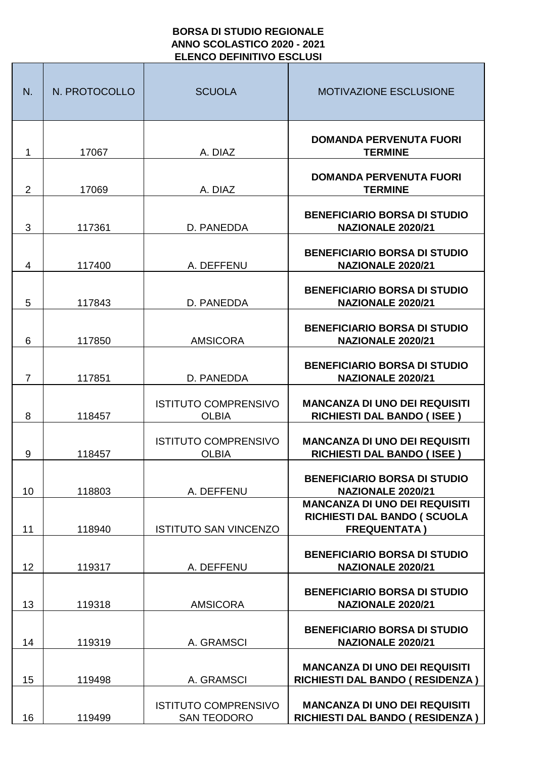## **BORSA DI STUDIO REGIONALE ANNO SCOLASTICO 2020 - 2021 ELENCO DEFINITIVO ESCLUSI**

| N.             | N. PROTOCOLLO | <b>SCUOLA</b>                                     | <b>MOTIVAZIONE ESCLUSIONE</b>                                                              |
|----------------|---------------|---------------------------------------------------|--------------------------------------------------------------------------------------------|
| 1              | 17067         | A. DIAZ                                           | <b>DOMANDA PERVENUTA FUORI</b><br><b>TERMINE</b>                                           |
| $\overline{2}$ | 17069         | A. DIAZ                                           | <b>DOMANDA PERVENUTA FUORI</b><br><b>TERMINE</b>                                           |
| 3              | 117361        | D. PANEDDA                                        | <b>BENEFICIARIO BORSA DI STUDIO</b><br><b>NAZIONALE 2020/21</b>                            |
| 4              | 117400        | A. DEFFENU                                        | <b>BENEFICIARIO BORSA DI STUDIO</b><br>NAZIONALE 2020/21                                   |
| 5              | 117843        | D. PANEDDA                                        | <b>BENEFICIARIO BORSA DI STUDIO</b><br><b>NAZIONALE 2020/21</b>                            |
| 6              | 117850        | <b>AMSICORA</b>                                   | <b>BENEFICIARIO BORSA DI STUDIO</b><br><b>NAZIONALE 2020/21</b>                            |
| $\overline{7}$ | 117851        | D. PANEDDA                                        | <b>BENEFICIARIO BORSA DI STUDIO</b><br><b>NAZIONALE 2020/21</b>                            |
| 8              | 118457        | <b>ISTITUTO COMPRENSIVO</b><br><b>OLBIA</b>       | <b>MANCANZA DI UNO DEI REQUISITI</b><br><b>RICHIESTI DAL BANDO (ISEE)</b>                  |
| 9              | 118457        | <b>ISTITUTO COMPRENSIVO</b><br><b>OLBIA</b>       | <b>MANCANZA DI UNO DEI REQUISITI</b><br><b>RICHIESTI DAL BANDO (ISEE)</b>                  |
| 10             | 118803        | A. DEFFENU                                        | <b>BENEFICIARIO BORSA DI STUDIO</b><br><b>NAZIONALE 2020/21</b>                            |
| 11             | 118940        | <b>ISTITUTO SAN VINCENZO</b>                      | <b>MANCANZA DI UNO DEI REQUISITI</b><br>RICHIESTI DAL BANDO (SCUOLA<br><b>FREQUENTATA)</b> |
| 12             | 119317        | A. DEFFENU                                        | <b>BENEFICIARIO BORSA DI STUDIO</b><br><b>NAZIONALE 2020/21</b>                            |
| 13             | 119318        | <b>AMSICORA</b>                                   | <b>BENEFICIARIO BORSA DI STUDIO</b><br><b>NAZIONALE 2020/21</b>                            |
| 14             | 119319        | A. GRAMSCI                                        | <b>BENEFICIARIO BORSA DI STUDIO</b><br><b>NAZIONALE 2020/21</b>                            |
| 15             | 119498        | A. GRAMSCI                                        | <b>MANCANZA DI UNO DEI REQUISITI</b><br>RICHIESTI DAL BANDO (RESIDENZA)                    |
| 16             | 119499        | <b>ISTITUTO COMPRENSIVO</b><br><b>SAN TEODORO</b> | <b>MANCANZA DI UNO DEI REQUISITI</b><br>RICHIESTI DAL BANDO ( RESIDENZA )                  |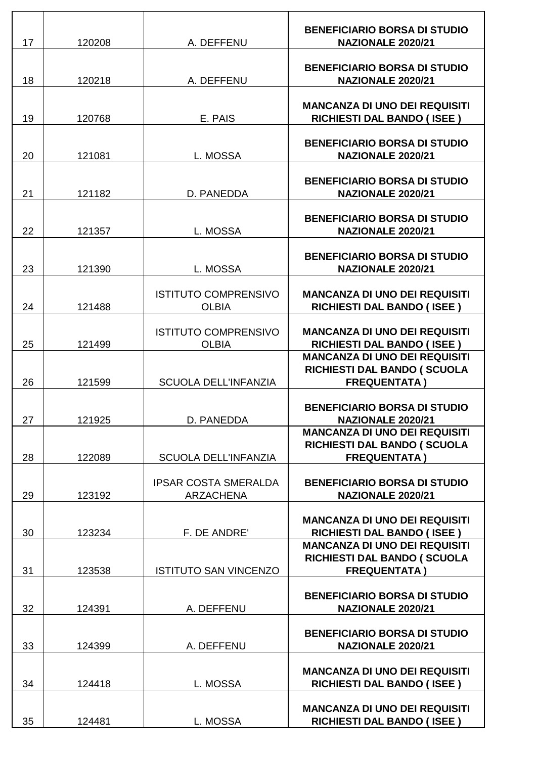| 17 | 120208 | A. DEFFENU                                      | <b>BENEFICIARIO BORSA DI STUDIO</b><br><b>NAZIONALE 2020/21</b>                            |
|----|--------|-------------------------------------------------|--------------------------------------------------------------------------------------------|
| 18 | 120218 | A. DEFFENU                                      | <b>BENEFICIARIO BORSA DI STUDIO</b><br><b>NAZIONALE 2020/21</b>                            |
| 19 | 120768 | E. PAIS                                         | <b>MANCANZA DI UNO DEI REQUISITI</b><br><b>RICHIESTI DAL BANDO (ISEE)</b>                  |
| 20 | 121081 | L. MOSSA                                        | <b>BENEFICIARIO BORSA DI STUDIO</b><br><b>NAZIONALE 2020/21</b>                            |
| 21 | 121182 | D. PANEDDA                                      | <b>BENEFICIARIO BORSA DI STUDIO</b><br><b>NAZIONALE 2020/21</b>                            |
| 22 | 121357 | L. MOSSA                                        | <b>BENEFICIARIO BORSA DI STUDIO</b><br><b>NAZIONALE 2020/21</b>                            |
| 23 | 121390 | L. MOSSA                                        | <b>BENEFICIARIO BORSA DI STUDIO</b><br><b>NAZIONALE 2020/21</b>                            |
| 24 | 121488 | <b>ISTITUTO COMPRENSIVO</b><br><b>OLBIA</b>     | <b>MANCANZA DI UNO DEI REQUISITI</b><br><b>RICHIESTI DAL BANDO (ISEE)</b>                  |
| 25 | 121499 | <b>ISTITUTO COMPRENSIVO</b><br><b>OLBIA</b>     | <b>MANCANZA DI UNO DEI REQUISITI</b><br><b>RICHIESTI DAL BANDO (ISEE)</b>                  |
| 26 | 121599 | <b>SCUOLA DELL'INFANZIA</b>                     | <b>MANCANZA DI UNO DEI REQUISITI</b><br>RICHIESTI DAL BANDO (SCUOLA<br><b>FREQUENTATA)</b> |
| 27 | 121925 | D. PANEDDA                                      | <b>BENEFICIARIO BORSA DI STUDIO</b><br><b>NAZIONALE 2020/21</b>                            |
| 28 | 122089 | <b>SCUOLA DELL'INFANZIA</b>                     | <b>MANCANZA DI UNO DEI REQUISITI</b><br>RICHIESTI DAL BANDO (SCUOLA<br><b>FREQUENTATA)</b> |
| 29 | 123192 | <b>IPSAR COSTA SMERALDA</b><br><b>ARZACHENA</b> | <b>BENEFICIARIO BORSA DI STUDIO</b><br><b>NAZIONALE 2020/21</b>                            |
| 30 | 123234 | F. DE ANDRE'                                    | <b>MANCANZA DI UNO DEI REQUISITI</b><br><b>RICHIESTI DAL BANDO (ISEE)</b>                  |
| 31 | 123538 | <b>ISTITUTO SAN VINCENZO</b>                    | <b>MANCANZA DI UNO DEI REQUISITI</b><br>RICHIESTI DAL BANDO (SCUOLA<br><b>FREQUENTATA)</b> |
| 32 | 124391 | A. DEFFENU                                      | <b>BENEFICIARIO BORSA DI STUDIO</b><br>NAZIONALE 2020/21                                   |
| 33 | 124399 | A. DEFFENU                                      | <b>BENEFICIARIO BORSA DI STUDIO</b><br><b>NAZIONALE 2020/21</b>                            |
| 34 | 124418 | L. MOSSA                                        | <b>MANCANZA DI UNO DEI REQUISITI</b><br><b>RICHIESTI DAL BANDO (ISEE)</b>                  |
| 35 | 124481 | L. MOSSA                                        | <b>MANCANZA DI UNO DEI REQUISITI</b><br><b>RICHIESTI DAL BANDO (ISEE)</b>                  |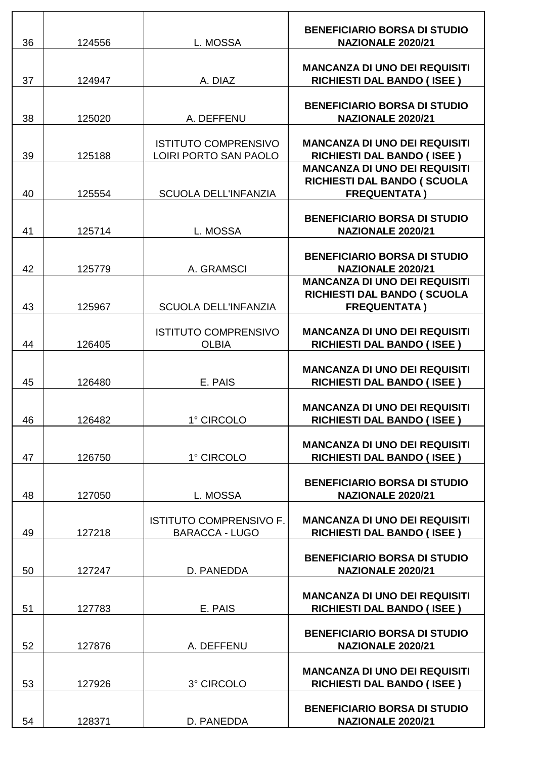| 36 | 124556 | L. MOSSA                                                | <b>BENEFICIARIO BORSA DI STUDIO</b><br><b>NAZIONALE 2020/21</b>                            |
|----|--------|---------------------------------------------------------|--------------------------------------------------------------------------------------------|
| 37 | 124947 | A. DIAZ                                                 | <b>MANCANZA DI UNO DEI REQUISITI</b><br><b>RICHIESTI DAL BANDO (ISEE)</b>                  |
| 38 | 125020 | A. DEFFENU                                              | <b>BENEFICIARIO BORSA DI STUDIO</b><br><b>NAZIONALE 2020/21</b>                            |
| 39 | 125188 | <b>ISTITUTO COMPRENSIVO</b><br>LOIRI PORTO SAN PAOLO    | <b>MANCANZA DI UNO DEI REQUISITI</b><br><b>RICHIESTI DAL BANDO (ISEE)</b>                  |
| 40 | 125554 | <b>SCUOLA DELL'INFANZIA</b>                             | <b>MANCANZA DI UNO DEI REQUISITI</b><br>RICHIESTI DAL BANDO (SCUOLA<br><b>FREQUENTATA)</b> |
| 41 | 125714 | L. MOSSA                                                | <b>BENEFICIARIO BORSA DI STUDIO</b><br><b>NAZIONALE 2020/21</b>                            |
| 42 | 125779 | A. GRAMSCI                                              | <b>BENEFICIARIO BORSA DI STUDIO</b><br><b>NAZIONALE 2020/21</b>                            |
| 43 | 125967 | <b>SCUOLA DELL'INFANZIA</b>                             | <b>MANCANZA DI UNO DEI REQUISITI</b><br>RICHIESTI DAL BANDO (SCUOLA<br><b>FREQUENTATA)</b> |
| 44 | 126405 | <b>ISTITUTO COMPRENSIVO</b><br><b>OLBIA</b>             | <b>MANCANZA DI UNO DEI REQUISITI</b><br><b>RICHIESTI DAL BANDO (ISEE)</b>                  |
| 45 | 126480 | E. PAIS                                                 | <b>MANCANZA DI UNO DEI REQUISITI</b><br><b>RICHIESTI DAL BANDO (ISEE)</b>                  |
| 46 | 126482 | 1° CIRCOLO                                              | <b>MANCANZA DI UNO DEI REQUISITI</b><br><b>RICHIESTI DAL BANDO (ISEE)</b>                  |
| 47 | 126750 | 1° CIRCOLO                                              | <b>MANCANZA DI UNO DEI REQUISITI</b><br><b>RICHIESTI DAL BANDO (ISEE)</b>                  |
| 48 | 127050 | L. MOSSA                                                | <b>BENEFICIARIO BORSA DI STUDIO</b><br><b>NAZIONALE 2020/21</b>                            |
| 49 | 127218 | <b>ISTITUTO COMPRENSIVO F.</b><br><b>BARACCA - LUGO</b> | <b>MANCANZA DI UNO DEI REQUISITI</b><br><b>RICHIESTI DAL BANDO (ISEE)</b>                  |
| 50 | 127247 | D. PANEDDA                                              | <b>BENEFICIARIO BORSA DI STUDIO</b><br><b>NAZIONALE 2020/21</b>                            |
| 51 | 127783 | E. PAIS                                                 | <b>MANCANZA DI UNO DEI REQUISITI</b><br><b>RICHIESTI DAL BANDO (ISEE)</b>                  |
| 52 | 127876 | A. DEFFENU                                              | <b>BENEFICIARIO BORSA DI STUDIO</b><br><b>NAZIONALE 2020/21</b>                            |
| 53 | 127926 | 3° CIRCOLO                                              | <b>MANCANZA DI UNO DEI REQUISITI</b><br><b>RICHIESTI DAL BANDO (ISEE)</b>                  |
| 54 | 128371 | D. PANEDDA                                              | <b>BENEFICIARIO BORSA DI STUDIO</b><br><b>NAZIONALE 2020/21</b>                            |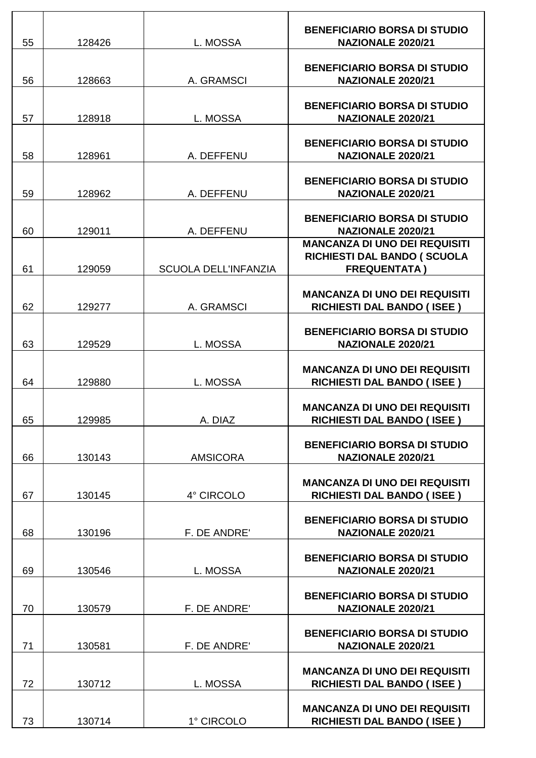| 55 | 128426 | L. MOSSA                    | <b>BENEFICIARIO BORSA DI STUDIO</b><br><b>NAZIONALE 2020/21</b>                                         |
|----|--------|-----------------------------|---------------------------------------------------------------------------------------------------------|
| 56 | 128663 | A. GRAMSCI                  | <b>BENEFICIARIO BORSA DI STUDIO</b><br>NAZIONALE 2020/21                                                |
| 57 |        | L. MOSSA                    | <b>BENEFICIARIO BORSA DI STUDIO</b><br><b>NAZIONALE 2020/21</b>                                         |
|    | 128918 |                             |                                                                                                         |
| 58 | 128961 | A. DEFFENU                  | <b>BENEFICIARIO BORSA DI STUDIO</b><br><b>NAZIONALE 2020/21</b>                                         |
| 59 | 128962 | A. DEFFENU                  | <b>BENEFICIARIO BORSA DI STUDIO</b><br><b>NAZIONALE 2020/21</b>                                         |
|    |        |                             |                                                                                                         |
| 60 | 129011 | A. DEFFENU                  | <b>BENEFICIARIO BORSA DI STUDIO</b><br><b>NAZIONALE 2020/21</b><br><b>MANCANZA DI UNO DEI REQUISITI</b> |
| 61 | 129059 | <b>SCUOLA DELL'INFANZIA</b> | RICHIESTI DAL BANDO (SCUOLA<br><b>FREQUENTATA)</b>                                                      |
|    |        |                             |                                                                                                         |
| 62 | 129277 | A. GRAMSCI                  | <b>MANCANZA DI UNO DEI REQUISITI</b><br><b>RICHIESTI DAL BANDO (ISEE)</b>                               |
| 63 | 129529 | L. MOSSA                    | <b>BENEFICIARIO BORSA DI STUDIO</b><br><b>NAZIONALE 2020/21</b>                                         |
|    |        |                             |                                                                                                         |
| 64 | 129880 | L. MOSSA                    | <b>MANCANZA DI UNO DEI REQUISITI</b><br><b>RICHIESTI DAL BANDO (ISEE)</b>                               |
| 65 | 129985 | A. DIAZ                     | <b>MANCANZA DI UNO DEI REQUISITI</b><br><b>RICHIESTI DAL BANDO (ISEE)</b>                               |
|    |        |                             |                                                                                                         |
| 66 | 130143 | <b>AMSICORA</b>             | <b>BENEFICIARIO BORSA DI STUDIO</b><br><b>NAZIONALE 2020/21</b>                                         |
| 67 | 130145 | 4° CIRCOLO                  | <b>MANCANZA DI UNO DEI REQUISITI</b><br><b>RICHIESTI DAL BANDO (ISEE)</b>                               |
|    |        |                             |                                                                                                         |
| 68 | 130196 | F. DE ANDRE'                | <b>BENEFICIARIO BORSA DI STUDIO</b><br><b>NAZIONALE 2020/21</b>                                         |
|    |        |                             | <b>BENEFICIARIO BORSA DI STUDIO</b>                                                                     |
| 69 | 130546 | L. MOSSA                    | <b>NAZIONALE 2020/21</b>                                                                                |
| 70 | 130579 | F. DE ANDRE'                | <b>BENEFICIARIO BORSA DI STUDIO</b><br><b>NAZIONALE 2020/21</b>                                         |
|    |        |                             |                                                                                                         |
| 71 | 130581 | F. DE ANDRE'                | <b>BENEFICIARIO BORSA DI STUDIO</b><br><b>NAZIONALE 2020/21</b>                                         |
| 72 | 130712 | L. MOSSA                    | <b>MANCANZA DI UNO DEI REQUISITI</b>                                                                    |
|    |        |                             | <b>RICHIESTI DAL BANDO (ISEE)</b>                                                                       |
| 73 | 130714 | 1° CIRCOLO                  | <b>MANCANZA DI UNO DEI REQUISITI</b><br><b>RICHIESTI DAL BANDO (ISEE)</b>                               |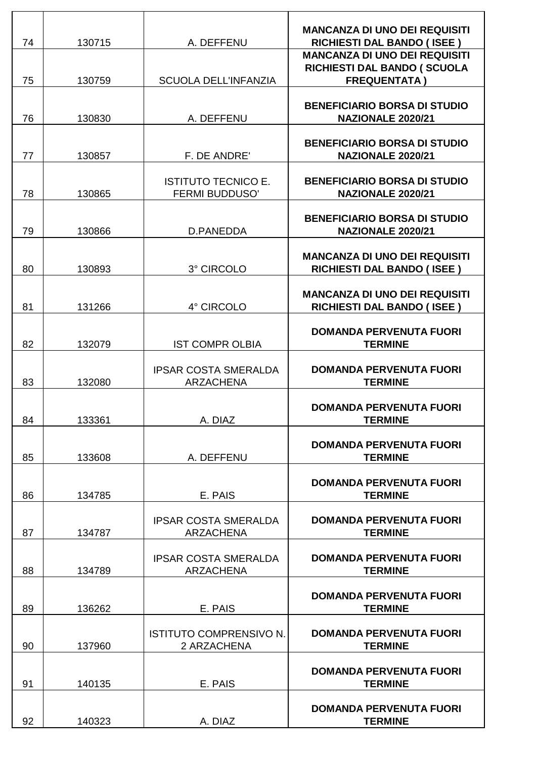| 74 | 130715 | A. DEFFENU                                          | <b>MANCANZA DI UNO DEI REQUISITI</b><br><b>RICHIESTI DAL BANDO (ISEE)</b> |
|----|--------|-----------------------------------------------------|---------------------------------------------------------------------------|
|    |        |                                                     | <b>MANCANZA DI UNO DEI REQUISITI</b><br>RICHIESTI DAL BANDO (SCUOLA       |
| 75 | 130759 | <b>SCUOLA DELL'INFANZIA</b>                         | <b>FREQUENTATA)</b>                                                       |
| 76 | 130830 | A. DEFFENU                                          | <b>BENEFICIARIO BORSA DI STUDIO</b><br><b>NAZIONALE 2020/21</b>           |
| 77 | 130857 | F. DE ANDRE'                                        | <b>BENEFICIARIO BORSA DI STUDIO</b><br><b>NAZIONALE 2020/21</b>           |
| 78 | 130865 | <b>ISTITUTO TECNICO E.</b><br><b>FERMI BUDDUSO'</b> | <b>BENEFICIARIO BORSA DI STUDIO</b><br><b>NAZIONALE 2020/21</b>           |
| 79 | 130866 | D.PANEDDA                                           | <b>BENEFICIARIO BORSA DI STUDIO</b><br><b>NAZIONALE 2020/21</b>           |
| 80 | 130893 | 3° CIRCOLO                                          | <b>MANCANZA DI UNO DEI REQUISITI</b><br><b>RICHIESTI DAL BANDO (ISEE)</b> |
| 81 | 131266 | 4° CIRCOLO                                          | <b>MANCANZA DI UNO DEI REQUISITI</b><br><b>RICHIESTI DAL BANDO (ISEE)</b> |
| 82 | 132079 | <b>IST COMPR OLBIA</b>                              | <b>DOMANDA PERVENUTA FUORI</b><br><b>TERMINE</b>                          |
| 83 | 132080 | <b>IPSAR COSTA SMERALDA</b><br><b>ARZACHENA</b>     | <b>DOMANDA PERVENUTA FUORI</b><br><b>TERMINE</b>                          |
| 84 | 133361 | A. DIAZ                                             | <b>DOMANDA PERVENUTA FUORI</b><br><b>TERMINE</b>                          |
| 85 | 133608 | A. DEFFENU                                          | <b>DOMANDA PERVENUTA FUORI</b><br><b>TERMINE</b>                          |
| 86 | 134785 | E. PAIS                                             | <b>DOMANDA PERVENUTA FUORI</b><br><b>TERMINE</b>                          |
| 87 | 134787 | <b>IPSAR COSTA SMERALDA</b><br><b>ARZACHENA</b>     | <b>DOMANDA PERVENUTA FUORI</b><br><b>TERMINE</b>                          |
| 88 | 134789 | <b>IPSAR COSTA SMERALDA</b><br><b>ARZACHENA</b>     | <b>DOMANDA PERVENUTA FUORI</b><br><b>TERMINE</b>                          |
| 89 | 136262 | E. PAIS                                             | <b>DOMANDA PERVENUTA FUORI</b><br><b>TERMINE</b>                          |
| 90 | 137960 | <b>ISTITUTO COMPRENSIVO N.</b><br>2 ARZACHENA       | <b>DOMANDA PERVENUTA FUORI</b><br><b>TERMINE</b>                          |
| 91 | 140135 | E. PAIS                                             | <b>DOMANDA PERVENUTA FUORI</b><br><b>TERMINE</b>                          |
| 92 | 140323 | A. DIAZ                                             | <b>DOMANDA PERVENUTA FUORI</b><br><b>TERMINE</b>                          |